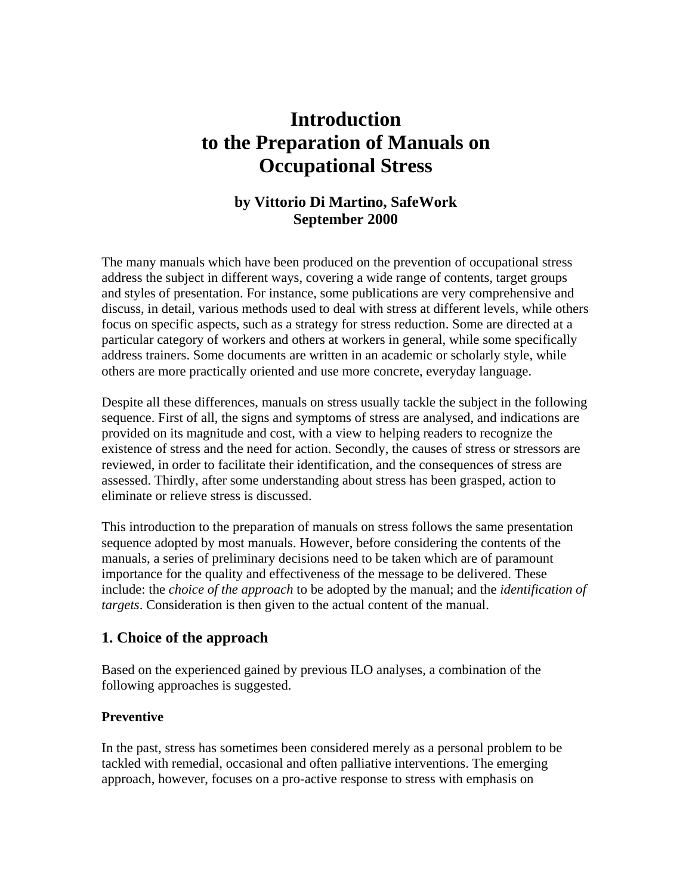# **Introduction to the Preparation of Manuals on Occupational Stress**

# **by Vittorio Di Martino, SafeWork September 2000**

The many manuals which have been produced on the prevention of occupational stress address the subject in different ways, covering a wide range of contents, target groups and styles of presentation. For instance, some publications are very comprehensive and discuss, in detail, various methods used to deal with stress at different levels, while others focus on specific aspects, such as a strategy for stress reduction. Some are directed at a particular category of workers and others at workers in general, while some specifically address trainers. Some documents are written in an academic or scholarly style, while others are more practically oriented and use more concrete, everyday language.

Despite all these differences, manuals on stress usually tackle the subject in the following sequence. First of all, the signs and symptoms of stress are analysed, and indications are provided on its magnitude and cost, with a view to helping readers to recognize the existence of stress and the need for action. Secondly, the causes of stress or stressors are reviewed, in order to facilitate their identification, and the consequences of stress are assessed. Thirdly, after some understanding about stress has been grasped, action to eliminate or relieve stress is discussed.

This introduction to the preparation of manuals on stress follows the same presentation sequence adopted by most manuals. However, before considering the contents of the manuals, a series of preliminary decisions need to be taken which are of paramount importance for the quality and effectiveness of the message to be delivered. These include: the *choice of the approach* to be adopted by the manual; and the *identification of targets*. Consideration is then given to the actual content of the manual.

# **1. Choice of the approach**

Based on the experienced gained by previous ILO analyses, a combination of the following approaches is suggested.

## **Preventive**

In the past, stress has sometimes been considered merely as a personal problem to be tackled with remedial, occasional and often palliative interventions. The emerging approach, however, focuses on a pro-active response to stress with emphasis on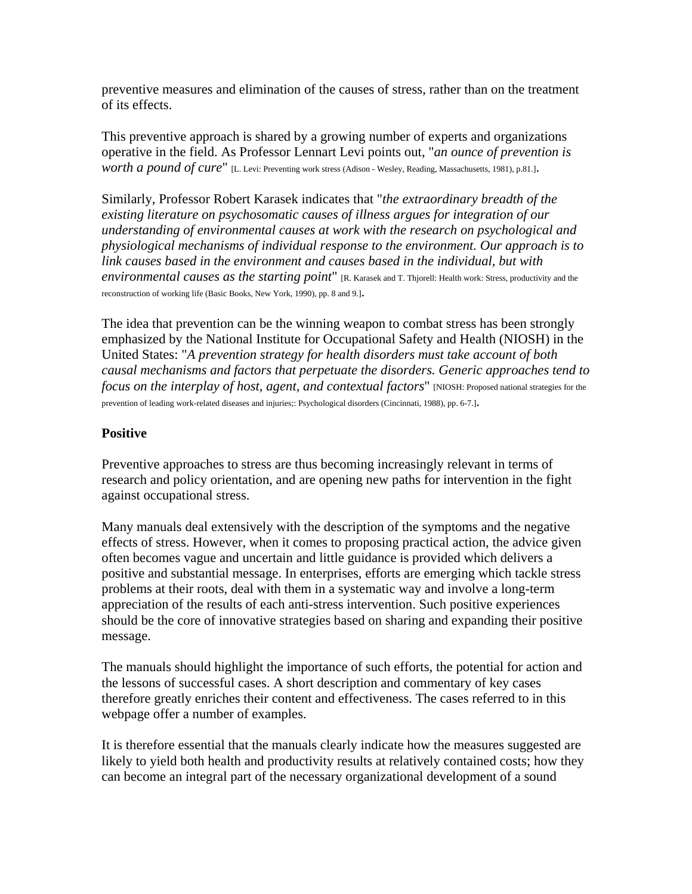preventive measures and elimination of the causes of stress, rather than on the treatment of its effects.

This preventive approach is shared by a growing number of experts and organizations operative in the field. As Professor Lennart Levi points out, "*an ounce of prevention is worth a pound of cure*" [L. Levi: Preventing work stress (Adison - Wesley, Reading, Massachusetts, 1981), p.81.].

Similarly, Professor Robert Karasek indicates that "*the extraordinary breadth of the existing literature on psychosomatic causes of illness argues for integration of our understanding of environmental causes at work with the research on psychological and physiological mechanisms of individual response to the environment. Our approach is to link causes based in the environment and causes based in the individual, but with environmental causes as the starting point*" [R. Karasek and T. Thjorell: Health work: Stress, productivity and the reconstruction of working life (Basic Books, New York, 1990), pp. 8 and 9.].

The idea that prevention can be the winning weapon to combat stress has been strongly emphasized by the National Institute for Occupational Safety and Health (NIOSH) in the United States: "*A prevention strategy for health disorders must take account of both causal mechanisms and factors that perpetuate the disorders. Generic approaches tend to focus on the interplay of host, agent, and contextual factors*" [NIOSH: Proposed national strategies for the prevention of leading work-related diseases and injuries;: Psychological disorders (Cincinnati, 1988), pp. 6-7.].

#### **Positive**

Preventive approaches to stress are thus becoming increasingly relevant in terms of research and policy orientation, and are opening new paths for intervention in the fight against occupational stress.

Many manuals deal extensively with the description of the symptoms and the negative effects of stress. However, when it comes to proposing practical action, the advice given often becomes vague and uncertain and little guidance is provided which delivers a positive and substantial message. In enterprises, efforts are emerging which tackle stress problems at their roots, deal with them in a systematic way and involve a long-term appreciation of the results of each anti-stress intervention. Such positive experiences should be the core of innovative strategies based on sharing and expanding their positive message.

The manuals should highlight the importance of such efforts, the potential for action and the lessons of successful cases. A short description and commentary of key cases therefore greatly enriches their content and effectiveness. The cases referred to in this webpage offer a number of examples.

It is therefore essential that the manuals clearly indicate how the measures suggested are likely to yield both health and productivity results at relatively contained costs; how they can become an integral part of the necessary organizational development of a sound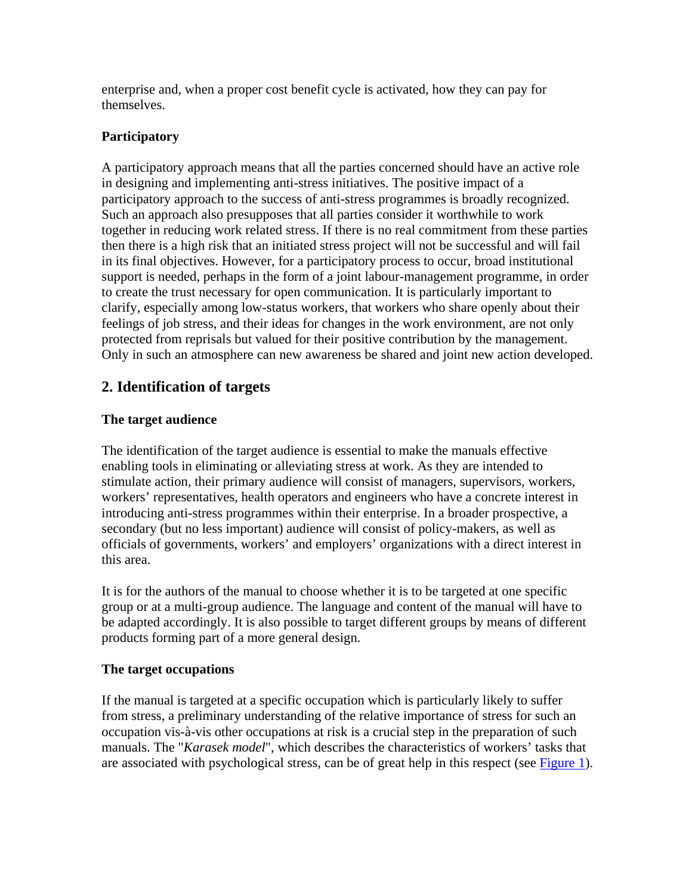enterprise and, when a proper cost benefit cycle is activated, how they can pay for themselves.

# **Participatory**

A participatory approach means that all the parties concerned should have an active role in designing and implementing anti-stress initiatives. The positive impact of a participatory approach to the success of anti-stress programmes is broadly recognized. Such an approach also presupposes that all parties consider it worthwhile to work together in reducing work related stress. If there is no real commitment from these parties then there is a high risk that an initiated stress project will not be successful and will fail in its final objectives. However, for a participatory process to occur, broad institutional support is needed, perhaps in the form of a joint labour-management programme, in order to create the trust necessary for open communication. It is particularly important to clarify, especially among low-status workers, that workers who share openly about their feelings of job stress, and their ideas for changes in the work environment, are not only protected from reprisals but valued for their positive contribution by the management. Only in such an atmosphere can new awareness be shared and joint new action developed.

# **2. Identification of targets**

## **The target audience**

The identification of the target audience is essential to make the manuals effective enabling tools in eliminating or alleviating stress at work. As they are intended to stimulate action, their primary audience will consist of managers, supervisors, workers, workers' representatives, health operators and engineers who have a concrete interest in introducing anti-stress programmes within their enterprise. In a broader prospective, a secondary (but no less important) audience will consist of policy-makers, as well as officials of governments, workers' and employers' organizations with a direct interest in this area.

It is for the authors of the manual to choose whether it is to be targeted at one specific group or at a multi-group audience. The language and content of the manual will have to be adapted accordingly. It is also possible to target different groups by means of different products forming part of a more general design.

## **The target occupations**

If the manual is targeted at a specific occupation which is particularly likely to suffer from stress, a preliminary understanding of the relative importance of stress for such an occupation vis-à-vis other occupations at risk is a crucial step in the preparation of such manuals. The "*Karasek model*", which describes the characteristics of workers' tasks that are associated with psychological stress, can be of great help in this respect (see [Figure 1](http://www.ilo.org/public/english/protection/safework/stress/prepman.htm#fig1)).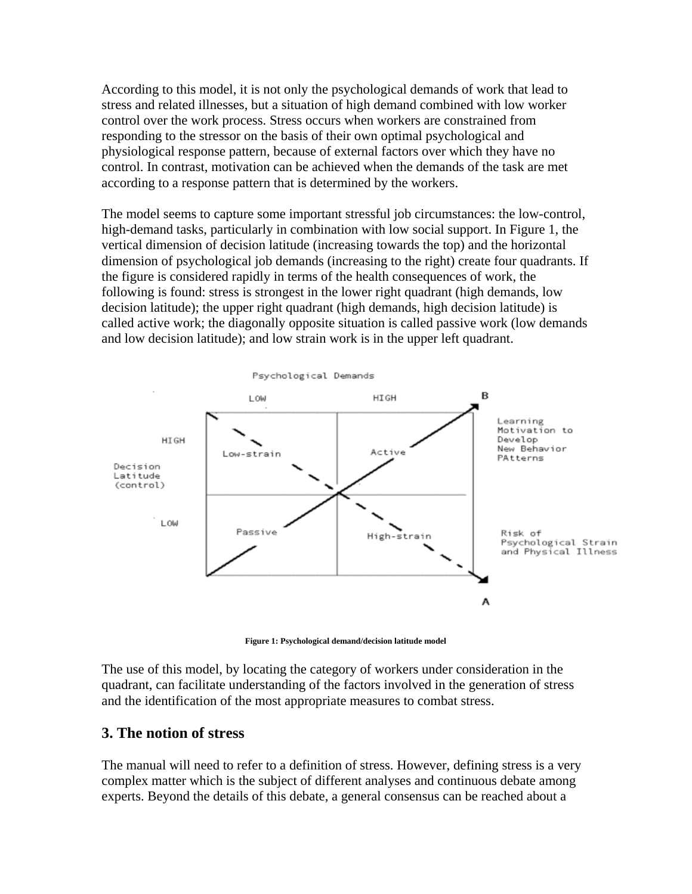According to this model, it is not only the psychological demands of work that lead to stress and related illnesses, but a situation of high demand combined with low worker control over the work process. Stress occurs when workers are constrained from responding to the stressor on the basis of their own optimal psychological and physiological response pattern, because of external factors over which they have no control. In contrast, motivation can be achieved when the demands of the task are met according to a response pattern that is determined by the workers.

The model seems to capture some important stressful job circumstances: the low-control, high-demand tasks, particularly in combination with low social support. In Figure 1, the vertical dimension of decision latitude (increasing towards the top) and the horizontal dimension of psychological job demands (increasing to the right) create four quadrants. If the figure is considered rapidly in terms of the health consequences of work, the following is found: stress is strongest in the lower right quadrant (high demands, low decision latitude); the upper right quadrant (high demands, high decision latitude) is called active work; the diagonally opposite situation is called passive work (low demands and low decision latitude); and low strain work is in the upper left quadrant.



**Figure 1: Psychological demand/decision latitude model**

The use of this model, by locating the category of workers under consideration in the quadrant, can facilitate understanding of the factors involved in the generation of stress and the identification of the most appropriate measures to combat stress.

### **3. The notion of stress**

The manual will need to refer to a definition of stress. However, defining stress is a very complex matter which is the subject of different analyses and continuous debate among experts. Beyond the details of this debate, a general consensus can be reached about a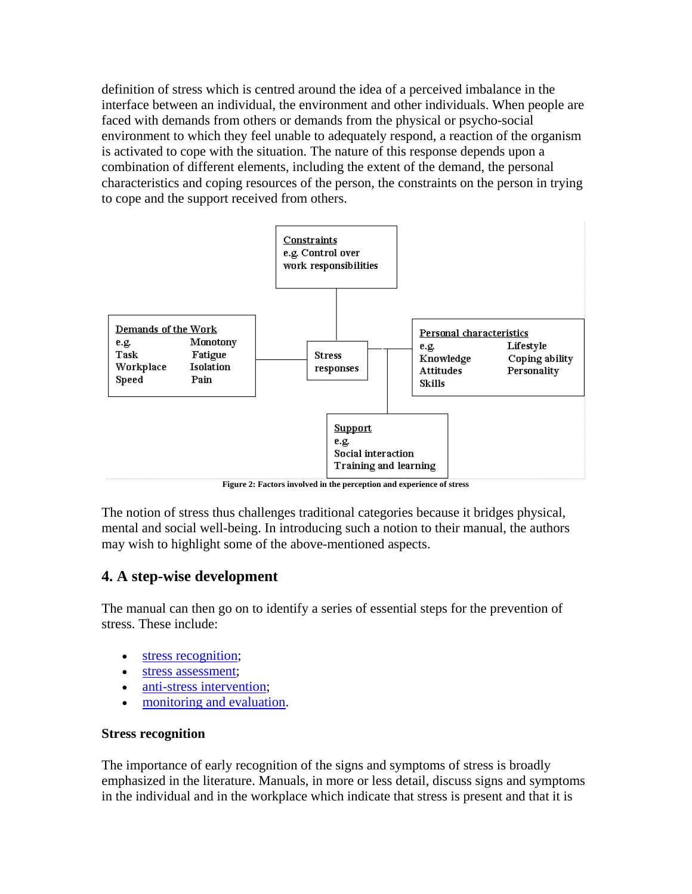definition of stress which is centred around the idea of a perceived imbalance in the interface between an individual, the environment and other individuals. When people are faced with demands from others or demands from the physical or psycho-social environment to which they feel unable to adequately respond, a reaction of the organism is activated to cope with the situation. The nature of this response depends upon a combination of different elements, including the extent of the demand, the personal characteristics and coping resources of the person, the constraints on the person in trying to cope and the support received from others.



**Figure 2: Factors involved in the perception and experience of stress**

The notion of stress thus challenges traditional categories because it bridges physical, mental and social well-being. In introducing such a notion to their manual, the authors may wish to highlight some of the above-mentioned aspects.

# **4. A step-wise development**

The manual can then go on to identify a series of essential steps for the prevention of stress. These include:

- [stress recognition](http://www.ilo.org/public/english/protection/safework/stress/prepman.htm#s3b1);
- [stress assessment;](http://www.ilo.org/public/english/protection/safework/stress/prepman.htm#s3b2)
- [anti-stress intervention;](http://www.ilo.org/public/english/protection/safework/stress/prepman.htm#s3b3)
- [monitoring and evaluation.](http://www.ilo.org/public/english/protection/safework/stress/prepman.htm#s3b4)

#### **Stress recognition**

The importance of early recognition of the signs and symptoms of stress is broadly emphasized in the literature. Manuals, in more or less detail, discuss signs and symptoms in the individual and in the workplace which indicate that stress is present and that it is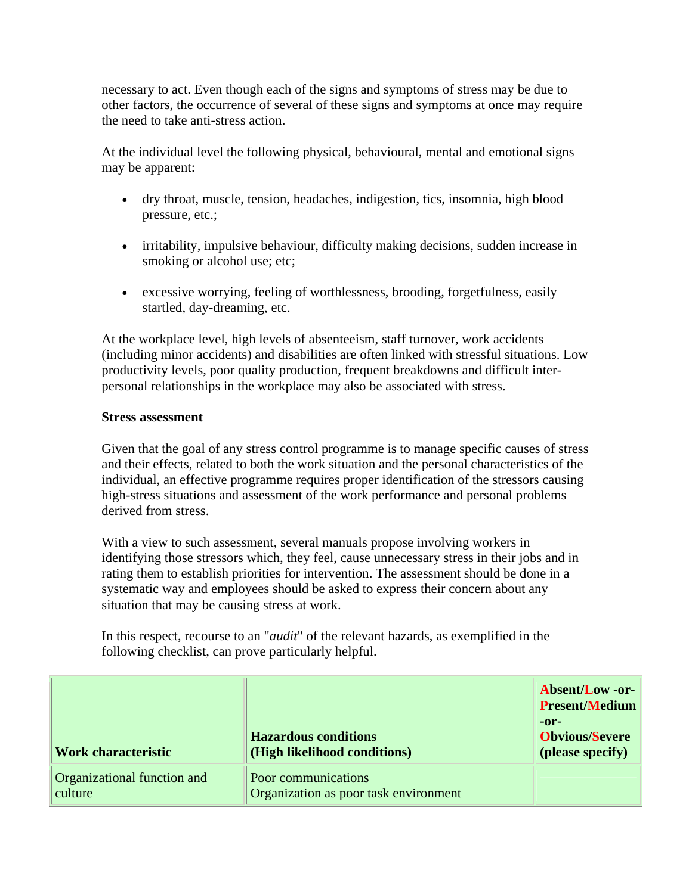necessary to act. Even though each of the signs and symptoms of stress may be due to other factors, the occurrence of several of these signs and symptoms at once may require the need to take anti-stress action.

At the individual level the following physical, behavioural, mental and emotional signs may be apparent:

- dry throat, muscle, tension, headaches, indigestion, tics, insomnia, high blood pressure, etc.;
- irritability, impulsive behaviour, difficulty making decisions, sudden increase in smoking or alcohol use; etc;
- excessive worrying, feeling of worthlessness, brooding, forgetfulness, easily startled, day-dreaming, etc.

At the workplace level, high levels of absenteeism, staff turnover, work accidents (including minor accidents) and disabilities are often linked with stressful situations. Low productivity levels, poor quality production, frequent breakdowns and difficult interpersonal relationships in the workplace may also be associated with stress.

#### **Stress assessment**

Given that the goal of any stress control programme is to manage specific causes of stress and their effects, related to both the work situation and the personal characteristics of the individual, an effective programme requires proper identification of the stressors causing high-stress situations and assessment of the work performance and personal problems derived from stress.

With a view to such assessment, several manuals propose involving workers in identifying those stressors which, they feel, cause unnecessary stress in their jobs and in rating them to establish priorities for intervention. The assessment should be done in a systematic way and employees should be asked to express their concern about any situation that may be causing stress at work.

In this respect, recourse to an "*audit*" of the relevant hazards, as exemplified in the following checklist, can prove particularly helpful.

| <b>Work characteristic</b>             | <b>Hazardous conditions</b><br>(High likelihood conditions)  | <b>Absent/Low-or-</b><br><b>Present/Medium</b><br>$-0r-$<br><b>Obvious/Severe</b><br>(please specify) |
|----------------------------------------|--------------------------------------------------------------|-------------------------------------------------------------------------------------------------------|
| Organizational function and<br>culture | Poor communications<br>Organization as poor task environment |                                                                                                       |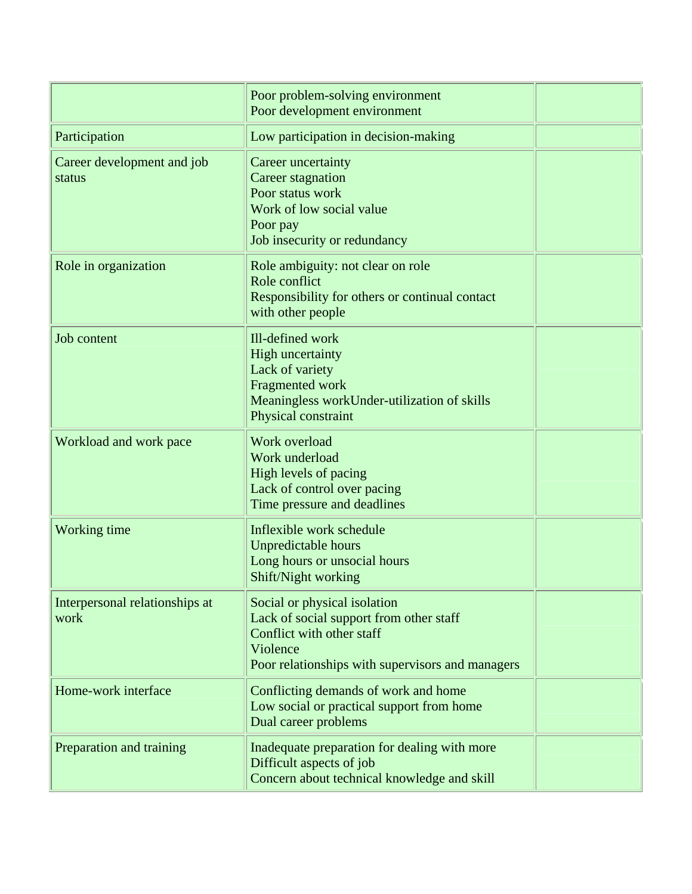|                                        | Poor problem-solving environment<br>Poor development environment                                                                                                     |  |
|----------------------------------------|----------------------------------------------------------------------------------------------------------------------------------------------------------------------|--|
| Participation                          | Low participation in decision-making                                                                                                                                 |  |
| Career development and job<br>status   | Career uncertainty<br>Career stagnation<br>Poor status work<br>Work of low social value<br>Poor pay<br>Job insecurity or redundancy                                  |  |
| Role in organization                   | Role ambiguity: not clear on role<br>Role conflict<br>Responsibility for others or continual contact<br>with other people                                            |  |
| Job content                            | Ill-defined work<br><b>High uncertainty</b><br>Lack of variety<br>Fragmented work<br>Meaningless workUnder-utilization of skills<br>Physical constraint              |  |
| Workload and work pace                 | Work overload<br>Work underload<br>High levels of pacing<br>Lack of control over pacing<br>Time pressure and deadlines                                               |  |
| Working time                           | Inflexible work schedule<br><b>Unpredictable hours</b><br>Long hours or unsocial hours<br>Shift/Night working                                                        |  |
| Interpersonal relationships at<br>work | Social or physical isolation<br>Lack of social support from other staff<br>Conflict with other staff<br>Violence<br>Poor relationships with supervisors and managers |  |
| Home-work interface                    | Conflicting demands of work and home<br>Low social or practical support from home<br>Dual career problems                                                            |  |
| Preparation and training               | Inadequate preparation for dealing with more<br>Difficult aspects of job<br>Concern about technical knowledge and skill                                              |  |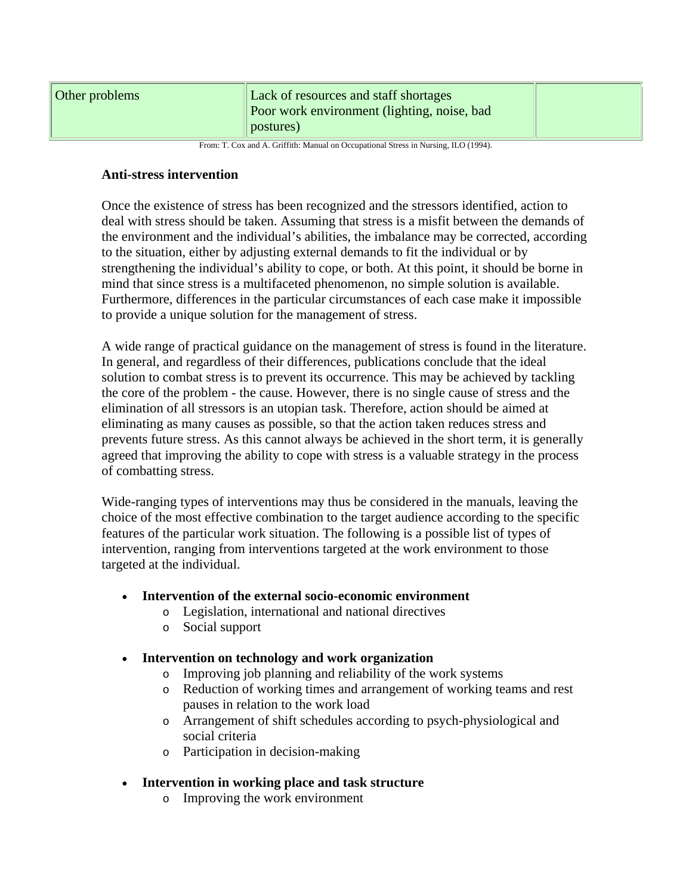| Other problems                                                                      | Lack of resources and staff shortages<br>Poor work environment (lighting, noise, bad<br>postures) |  |  |
|-------------------------------------------------------------------------------------|---------------------------------------------------------------------------------------------------|--|--|
| From: T. Cox and A. Griffith: Manual on Occupational Stress in Nursing, ILO (1994). |                                                                                                   |  |  |

#### **Anti-stress intervention**

Once the existence of stress has been recognized and the stressors identified, action to deal with stress should be taken. Assuming that stress is a misfit between the demands of the environment and the individual's abilities, the imbalance may be corrected, according to the situation, either by adjusting external demands to fit the individual or by strengthening the individual's ability to cope, or both. At this point, it should be borne in mind that since stress is a multifaceted phenomenon, no simple solution is available. Furthermore, differences in the particular circumstances of each case make it impossible to provide a unique solution for the management of stress.

A wide range of practical guidance on the management of stress is found in the literature. In general, and regardless of their differences, publications conclude that the ideal solution to combat stress is to prevent its occurrence. This may be achieved by tackling the core of the problem - the cause. However, there is no single cause of stress and the elimination of all stressors is an utopian task. Therefore, action should be aimed at eliminating as many causes as possible, so that the action taken reduces stress and prevents future stress. As this cannot always be achieved in the short term, it is generally agreed that improving the ability to cope with stress is a valuable strategy in the process of combatting stress.

Wide-ranging types of interventions may thus be considered in the manuals, leaving the choice of the most effective combination to the target audience according to the specific features of the particular work situation. The following is a possible list of types of intervention, ranging from interventions targeted at the work environment to those targeted at the individual.

- **Intervention of the external socio-economic environment**
	- o Legislation, international and national directives
	- o Social support
- **Intervention on technology and work organization**
	- o Improving job planning and reliability of the work systems
	- o Reduction of working times and arrangement of working teams and rest pauses in relation to the work load
	- o Arrangement of shift schedules according to psych-physiological and social criteria
	- o Participation in decision-making
- **Intervention in working place and task structure**
	- o Improving the work environment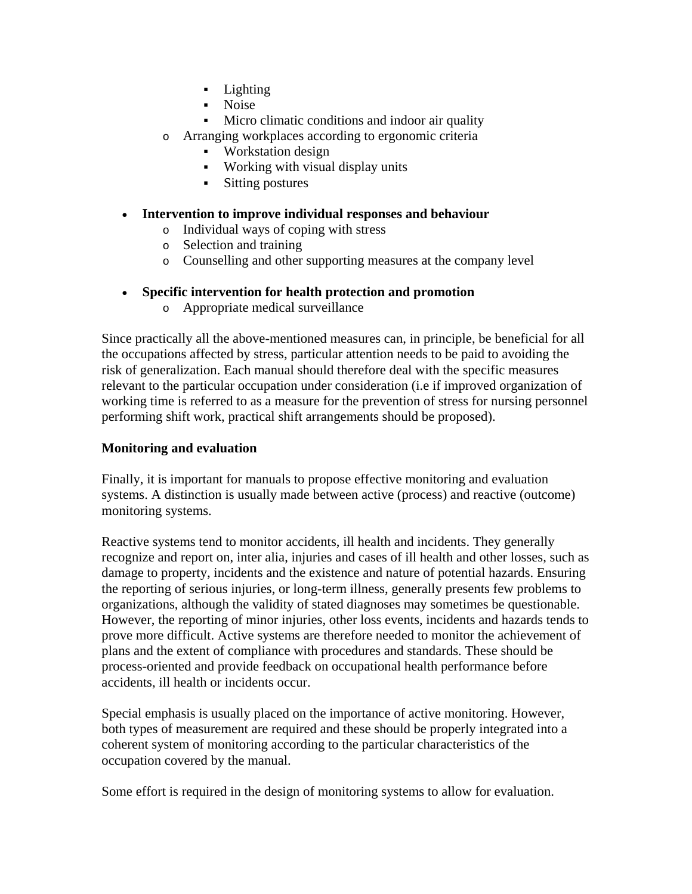- Lighting
- Noise
- Micro climatic conditions and indoor air quality
- o Arranging workplaces according to ergonomic criteria
	- Workstation design
	- Working with visual display units
	- Sitting postures
- **Intervention to improve individual responses and behaviour**
	- o Individual ways of coping with stress
	- o Selection and training
	- o Counselling and other supporting measures at the company level
- **Specific intervention for health protection and promotion**
	- o Appropriate medical surveillance

Since practically all the above-mentioned measures can, in principle, be beneficial for all the occupations affected by stress, particular attention needs to be paid to avoiding the risk of generalization. Each manual should therefore deal with the specific measures relevant to the particular occupation under consideration (i.e if improved organization of working time is referred to as a measure for the prevention of stress for nursing personnel performing shift work, practical shift arrangements should be proposed).

#### **Monitoring and evaluation**

Finally, it is important for manuals to propose effective monitoring and evaluation systems. A distinction is usually made between active (process) and reactive (outcome) monitoring systems.

Reactive systems tend to monitor accidents, ill health and incidents. They generally recognize and report on, inter alia, injuries and cases of ill health and other losses, such as damage to property, incidents and the existence and nature of potential hazards. Ensuring the reporting of serious injuries, or long-term illness, generally presents few problems to organizations, although the validity of stated diagnoses may sometimes be questionable. However, the reporting of minor injuries, other loss events, incidents and hazards tends to prove more difficult. Active systems are therefore needed to monitor the achievement of plans and the extent of compliance with procedures and standards. These should be process-oriented and provide feedback on occupational health performance before accidents, ill health or incidents occur.

Special emphasis is usually placed on the importance of active monitoring. However, both types of measurement are required and these should be properly integrated into a coherent system of monitoring according to the particular characteristics of the occupation covered by the manual.

Some effort is required in the design of monitoring systems to allow for evaluation.